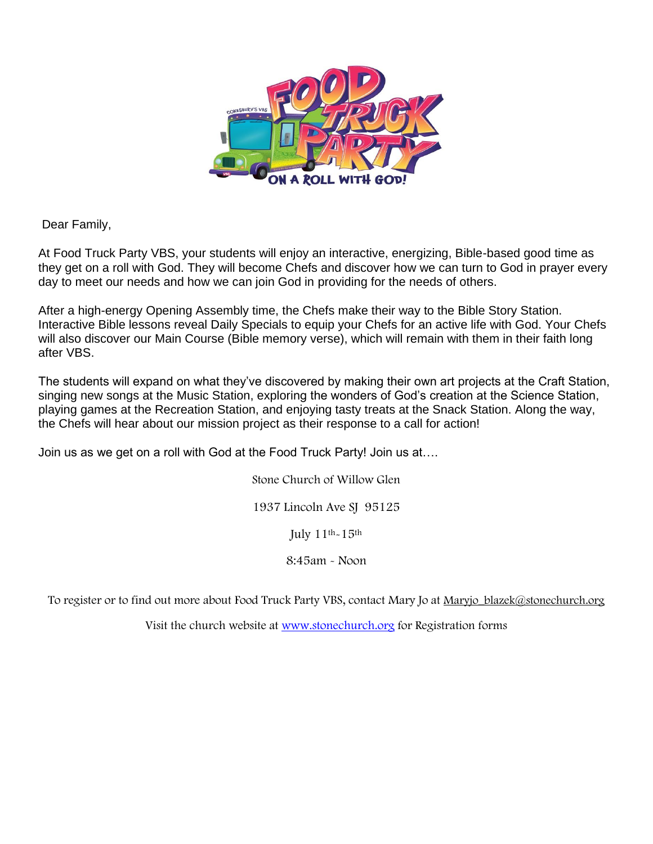

Dear Family,

At Food Truck Party VBS, your students will enjoy an interactive, energizing, Bible-based good time as they get on a roll with God. They will become Chefs and discover how we can turn to God in prayer every day to meet our needs and how we can join God in providing for the needs of others.

After a high-energy Opening Assembly time, the Chefs make their way to the Bible Story Station. Interactive Bible lessons reveal Daily Specials to equip your Chefs for an active life with God. Your Chefs will also discover our Main Course (Bible memory verse), which will remain with them in their faith long after VBS.

The students will expand on what they've discovered by making their own art projects at the Craft Station, singing new songs at the Music Station, exploring the wonders of God's creation at the Science Station, playing games at the Recreation Station, and enjoying tasty treats at the Snack Station. Along the way, the Chefs will hear about our mission project as their response to a call for action!

Join us as we get on a roll with God at the Food Truck Party! Join us at….

Stone Church of Willow Glen 1937 Lincoln Ave SJ 95125 July  $11^{th}$ - $15^{th}$ 8:45am - Noon

To register or to find out more about Food Truck Party VBS, contact Mary Jo at Maryjo\_blazek@stonechurch.org

Visit the church website at [www.stonechurch.org](http://www.stonechurch.org/) for Registration forms